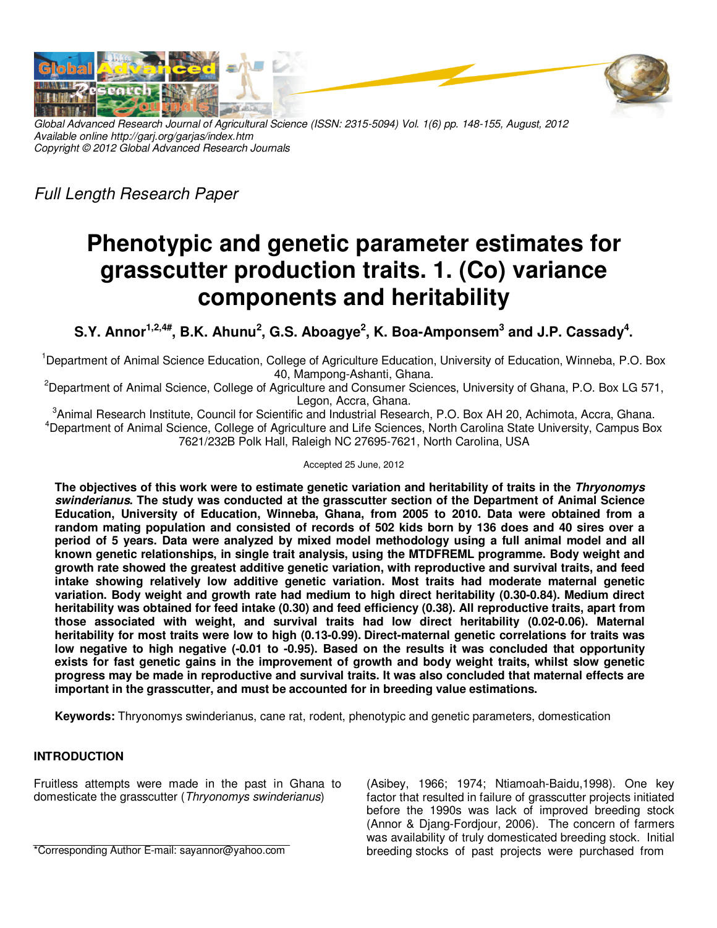



*Global Advanced Research Journal of Agricultural Science (ISSN: 2315-5094) Vol. 1(6) pp. 148-155, August, 2012 Available online http://garj.org/garjas/index.htm Copyright © 2012 Global Advanced Research Journals* 

*Full Length Research Paper* 

# **Phenotypic and genetic parameter estimates for grasscutter production traits. 1. (Co) variance components and heritability**

**S.Y. Annor1,2,4#, B.K. Ahunu<sup>2</sup> , G.S. Aboagye<sup>2</sup> , K. Boa-Amponsem<sup>3</sup> and J.P. Cassady<sup>4</sup> .** 

<sup>1</sup>Department of Animal Science Education, College of Agriculture Education, University of Education, Winneba, P.O. Box 40, Mampong-Ashanti, Ghana.

<sup>2</sup>Department of Animal Science, College of Agriculture and Consumer Sciences, University of Ghana, P.O. Box LG 571, Legon, Accra, Ghana.

<sup>3</sup>Animal Research Institute, Council for Scientific and Industrial Research, P.O. Box AH 20, Achimota, Accra, Ghana. <sup>4</sup>Department of Animal Science, College of Agriculture and Life Sciences, North Carolina State University, Campus Box 7621/232B Polk Hall, Raleigh NC 27695-7621, North Carolina, USA

## Accepted 25 June, 2012

**The objectives of this work were to estimate genetic variation and heritability of traits in the Thryonomys swinderianus. The study was conducted at the grasscutter section of the Department of Animal Science Education, University of Education, Winneba, Ghana, from 2005 to 2010. Data were obtained from a random mating population and consisted of records of 502 kids born by 136 does and 40 sires over a period of 5 years. Data were analyzed by mixed model methodology using a full animal model and all known genetic relationships, in single trait analysis, using the MTDFREML programme. Body weight and growth rate showed the greatest additive genetic variation, with reproductive and survival traits, and feed intake showing relatively low additive genetic variation. Most traits had moderate maternal genetic variation. Body weight and growth rate had medium to high direct heritability (0.30-0.84). Medium direct heritability was obtained for feed intake (0.30) and feed efficiency (0.38). All reproductive traits, apart from those associated with weight, and survival traits had low direct heritability (0.02-0.06). Maternal heritability for most traits were low to high (0.13-0.99). Direct-maternal genetic correlations for traits was low negative to high negative (-0.01 to -0.95). Based on the results it was concluded that opportunity exists for fast genetic gains in the improvement of growth and body weight traits, whilst slow genetic progress may be made in reproductive and survival traits. It was also concluded that maternal effects are important in the grasscutter, and must be accounted for in breeding value estimations.** 

**Keywords:** Thryonomys swinderianus, cane rat, rodent, phenotypic and genetic parameters, domestication

## **INTRODUCTION**

Fruitless attempts were made in the past in Ghana to domesticate the grasscutter (*Thryonomys swinderianus*)

(Asibey, 1966; 1974; Ntiamoah-Baidu,1998). One key factor that resulted in failure of grasscutter projects initiated before the 1990s was lack of improved breeding stock (Annor & Djang-Fordjour, 2006). The concern of farmers was availability of truly domesticated breeding stock. Initial breeding stocks of past projects were purchased from

\*Corresponding Author E-mail: sayannor@yahoo.com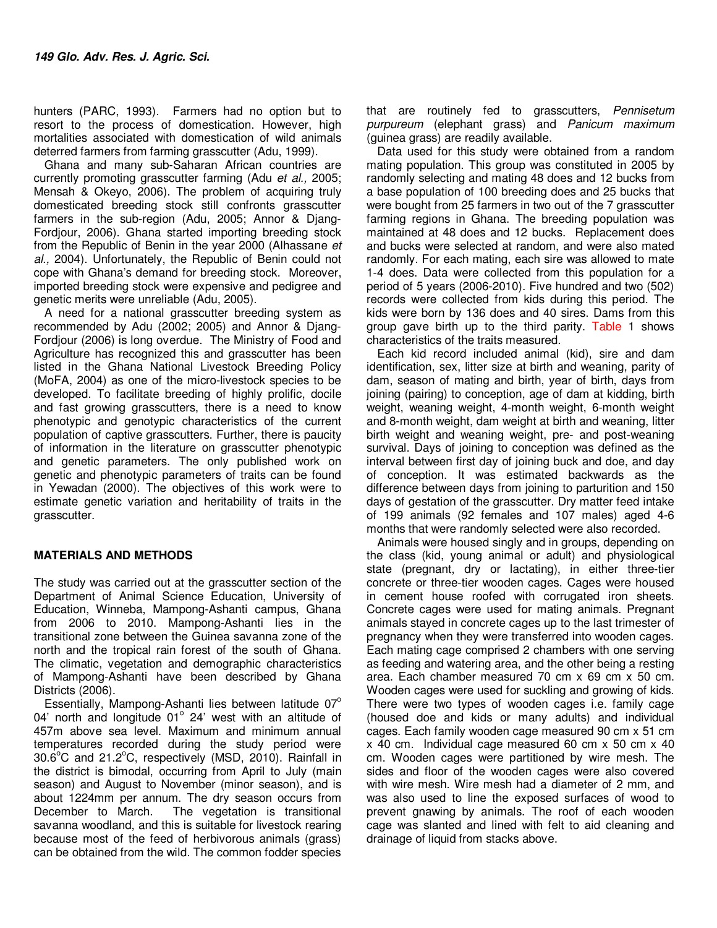hunters (PARC, 1993). Farmers had no option but to resort to the process of domestication. However, high mortalities associated with domestication of wild animals deterred farmers from farming grasscutter (Adu, 1999).

Ghana and many sub-Saharan African countries are currently promoting grasscutter farming (Adu *et al.,* 2005; Mensah & Okeyo, 2006). The problem of acquiring truly domesticated breeding stock still confronts grasscutter farmers in the sub-region (Adu, 2005; Annor & Djang-Fordjour, 2006). Ghana started importing breeding stock from the Republic of Benin in the year 2000 (Alhassane *et al.,* 2004). Unfortunately, the Republic of Benin could not cope with Ghana's demand for breeding stock. Moreover, imported breeding stock were expensive and pedigree and genetic merits were unreliable (Adu, 2005).

A need for a national grasscutter breeding system as recommended by Adu (2002; 2005) and Annor & Djang-Fordjour (2006) is long overdue. The Ministry of Food and Agriculture has recognized this and grasscutter has been listed in the Ghana National Livestock Breeding Policy (MoFA, 2004) as one of the micro-livestock species to be developed. To facilitate breeding of highly prolific, docile and fast growing grasscutters, there is a need to know phenotypic and genotypic characteristics of the current population of captive grasscutters. Further, there is paucity of information in the literature on grasscutter phenotypic and genetic parameters. The only published work on genetic and phenotypic parameters of traits can be found in Yewadan (2000). The objectives of this work were to estimate genetic variation and heritability of traits in the grasscutter.

## **MATERIALS AND METHODS**

The study was carried out at the grasscutter section of the Department of Animal Science Education, University of Education, Winneba, Mampong-Ashanti campus, Ghana from 2006 to 2010. Mampong-Ashanti lies in the transitional zone between the Guinea savanna zone of the north and the tropical rain forest of the south of Ghana. The climatic, vegetation and demographic characteristics of Mampong-Ashanti have been described by Ghana Districts (2006).

Essentially, Mampong-Ashanti lies between latitude  $07^{\circ}$ 04' north and longitude 01° 24' west with an altitude of 457m above sea level. Maximum and minimum annual temperatures recorded during the study period were  $30.6^{\circ}$ C and  $21.2^{\circ}$ C, respectively (MSD, 2010). Rainfall in the district is bimodal, occurring from April to July (main season) and August to November (minor season), and is about 1224mm per annum. The dry season occurs from The vegetation is transitional savanna woodland, and this is suitable for livestock rearing because most of the feed of herbivorous animals (grass) can be obtained from the wild. The common fodder species

that are routinely fed to grasscutters, *Pennisetum purpureum* (elephant grass) and *Panicum maximum*  (guinea grass) are readily available.

Data used for this study were obtained from a random mating population. This group was constituted in 2005 by randomly selecting and mating 48 does and 12 bucks from a base population of 100 breeding does and 25 bucks that were bought from 25 farmers in two out of the 7 grasscutter farming regions in Ghana. The breeding population was maintained at 48 does and 12 bucks. Replacement does and bucks were selected at random, and were also mated randomly. For each mating, each sire was allowed to mate 1-4 does. Data were collected from this population for a period of 5 years (2006-2010). Five hundred and two (502) records were collected from kids during this period. The kids were born by 136 does and 40 sires. Dams from this group gave birth up to the third parity. Table 1 shows characteristics of the traits measured.

Each kid record included animal (kid), sire and dam identification, sex, litter size at birth and weaning, parity of dam, season of mating and birth, year of birth, days from joining (pairing) to conception, age of dam at kidding, birth weight, weaning weight, 4-month weight, 6-month weight and 8-month weight, dam weight at birth and weaning, litter birth weight and weaning weight, pre- and post-weaning survival. Days of joining to conception was defined as the interval between first day of joining buck and doe, and day of conception. It was estimated backwards as the difference between days from joining to parturition and 150 days of gestation of the grasscutter. Dry matter feed intake of 199 animals (92 females and 107 males) aged 4-6 months that were randomly selected were also recorded.

Animals were housed singly and in groups, depending on the class (kid, young animal or adult) and physiological state (pregnant, dry or lactating), in either three-tier concrete or three-tier wooden cages. Cages were housed in cement house roofed with corrugated iron sheets. Concrete cages were used for mating animals. Pregnant animals stayed in concrete cages up to the last trimester of pregnancy when they were transferred into wooden cages. Each mating cage comprised 2 chambers with one serving as feeding and watering area, and the other being a resting area. Each chamber measured 70 cm x 69 cm x 50 cm. Wooden cages were used for suckling and growing of kids. There were two types of wooden cages i.e. family cage (housed doe and kids or many adults) and individual cages. Each family wooden cage measured 90 cm x 51 cm x 40 cm. Individual cage measured 60 cm x 50 cm x 40 cm. Wooden cages were partitioned by wire mesh. The sides and floor of the wooden cages were also covered with wire mesh. Wire mesh had a diameter of 2 mm, and was also used to line the exposed surfaces of wood to prevent gnawing by animals. The roof of each wooden cage was slanted and lined with felt to aid cleaning and drainage of liquid from stacks above.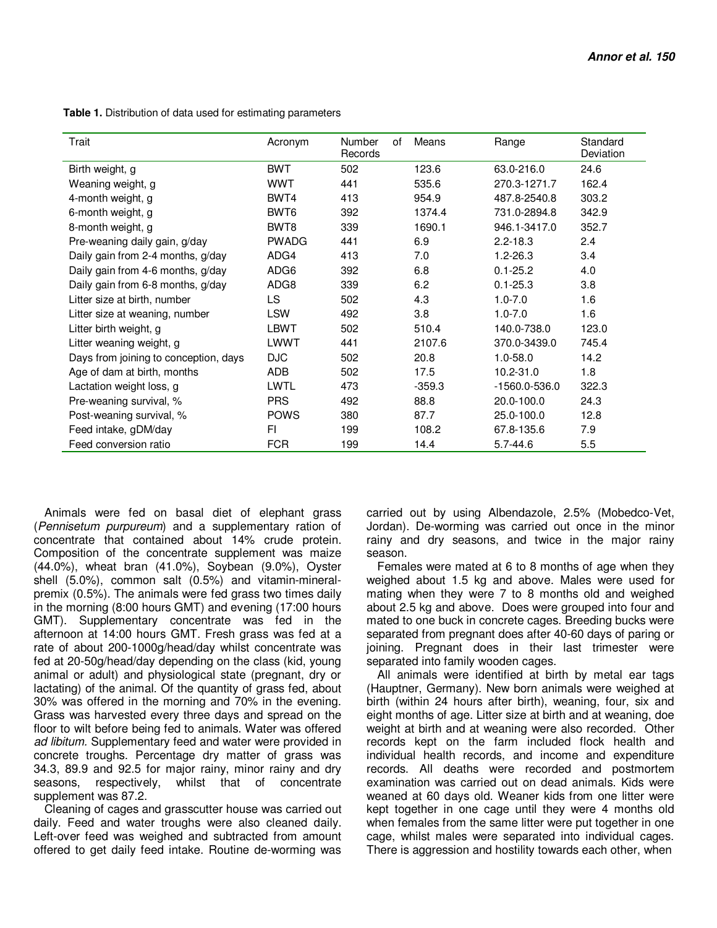Trait **Trait** Acronym Number of Records Means Range Standard Deviation Birth weight, g and the state of the BWT 502 123.6 63.0-216.0 24.6 Weaning weight, g WWT 441 535.6 270.3-1271.7 162.4 4-month weight, g BWT4 413 954.9 487.8-2540.8 303.2 6-month weight, g BWT6 392 1374.4 731.0-2894.8 342.9 8-month weight, g BWT8 339 1690.1 946.1-3417.0 352.7 Pre-weaning daily gain, g/day PWADG 441 6.9 2.2-18.3 2.4 Daily gain from 2-4 months, g/day ADG4 413 7.0 1.2-26.3 3.4 Daily gain from 4-6 months, g/day ADG6 392 6.8 0.1-25.2 4.0 Daily gain from 6-8 months, g/day ADG8 339 6.2 0.1-25.3 3.8 Litter size at birth, number  $\begin{array}{ccc} \text{LIS} & 502 & 4.3 & 1.0-7.0 & 1.6 \end{array}$ Litter size at weaning, number LSW 492 3.8 1.0-7.0 1.6 Litter birth weight, g  $L$ BWT 502 510.4 140.0-738.0 123.0 Litter weaning weight, g LWWT 441 2107.6 370.0-3439.0 745.4 Days from joining to conception, days DJC 502 20.8 1.0-58.0 14.2 Age of dam at birth, months  $ADB$  502 17.5 10.2-31.0 1.8 Lactation weight loss, g LWTL 473 -359.3 -1560.0-536.0 322.3 Pre-weaning survival, % PRS 492 88.8 20.0-100.0 24.3 Post-weaning survival, % POWS 380 87.7 25.0-100.0 12.8 Feed intake, gDM/day FI 199 108.2 67.8-135.6 7.9 Feed conversion ratio  $FCR$  199 14.4 5.7-44.6 5.5

 **Table 1.** Distribution of data used for estimating parameters

Animals were fed on basal diet of elephant grass (*Pennisetum purpureum*) and a supplementary ration of concentrate that contained about 14% crude protein. Composition of the concentrate supplement was maize (44.0%), wheat bran (41.0%), Soybean (9.0%), Oyster shell (5.0%), common salt (0.5%) and vitamin-mineralpremix (0.5%). The animals were fed grass two times daily in the morning (8:00 hours GMT) and evening (17:00 hours GMT). Supplementary concentrate was fed in the afternoon at 14:00 hours GMT. Fresh grass was fed at a rate of about 200-1000g/head/day whilst concentrate was fed at 20-50g/head/day depending on the class (kid, young animal or adult) and physiological state (pregnant, dry or lactating) of the animal. Of the quantity of grass fed, about 30% was offered in the morning and 70% in the evening. Grass was harvested every three days and spread on the floor to wilt before being fed to animals. Water was offered *ad libitum.* Supplementary feed and water were provided in concrete troughs. Percentage dry matter of grass was 34.3, 89.9 and 92.5 for major rainy, minor rainy and dry seasons, respectively, whilst that of concentrate supplement was 87.2.

Cleaning of cages and grasscutter house was carried out daily. Feed and water troughs were also cleaned daily. Left-over feed was weighed and subtracted from amount offered to get daily feed intake. Routine de-worming was

carried out by using Albendazole, 2.5% (Mobedco-Vet, Jordan). De-worming was carried out once in the minor rainy and dry seasons, and twice in the major rainy season.

Females were mated at 6 to 8 months of age when they weighed about 1.5 kg and above. Males were used for mating when they were 7 to 8 months old and weighed about 2.5 kg and above. Does were grouped into four and mated to one buck in concrete cages. Breeding bucks were separated from pregnant does after 40-60 days of paring or joining. Pregnant does in their last trimester were separated into family wooden cages.

All animals were identified at birth by metal ear tags (Hauptner, Germany). New born animals were weighed at birth (within 24 hours after birth), weaning, four, six and eight months of age. Litter size at birth and at weaning, doe weight at birth and at weaning were also recorded. Other records kept on the farm included flock health and individual health records, and income and expenditure records. All deaths were recorded and postmortem examination was carried out on dead animals. Kids were weaned at 60 days old. Weaner kids from one litter were kept together in one cage until they were 4 months old when females from the same litter were put together in one cage, whilst males were separated into individual cages. There is aggression and hostility towards each other, when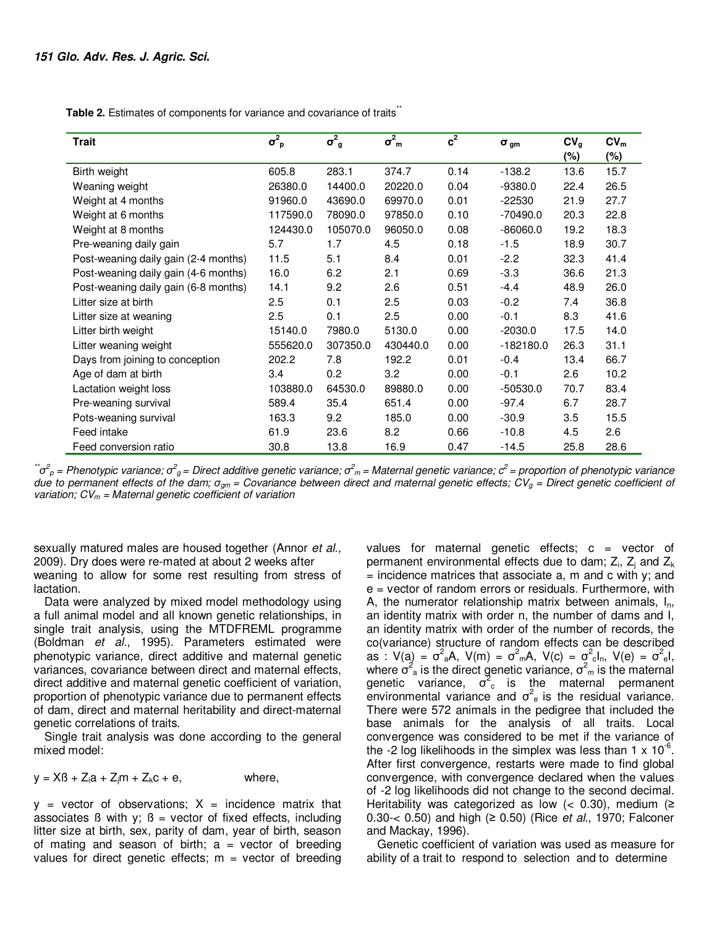**Table 2.** Estimates of components for variance and covariance of traits<sup>\*\*</sup>

| <b>Trait</b>                         | $\sigma^2_{\ \rm p}$ | $\sigma^2_{\;g}$ | $\sigma_{m}^{2}$ | $c^2$ | $\sigma_{gm}$ | CV <sub>g</sub> | CV <sub>m</sub> |
|--------------------------------------|----------------------|------------------|------------------|-------|---------------|-----------------|-----------------|
|                                      |                      |                  |                  |       |               | $(\%)$          | (%)             |
| Birth weight                         | 605.8                | 283.1            | 374.7            | 0.14  | $-138.2$      | 13.6            | 15.7            |
| Weaning weight                       | 26380.0              | 14400.0          | 20220.0          | 0.04  | $-9380.0$     | 22.4            | 26.5            |
| Weight at 4 months                   | 91960.0              | 43690.0          | 69970.0          | 0.01  | $-22530$      | 21.9            | 27.7            |
| Weight at 6 months                   | 117590.0             | 78090.0          | 97850.0          | 0.10  | $-70490.0$    | 20.3            | 22.8            |
| Weight at 8 months                   | 124430.0             | 105070.0         | 96050.0          | 0.08  | $-86060.0$    | 19.2            | 18.3            |
| Pre-weaning daily gain               | 5.7                  | 1.7              | 4.5              | 0.18  | $-1.5$        | 18.9            | 30.7            |
| Post-weaning daily gain (2-4 months) | 11.5                 | 5.1              | 8.4              | 0.01  | $-2.2$        | 32.3            | 41.4            |
| Post-weaning daily gain (4-6 months) | 16.0                 | 6.2              | 2.1              | 0.69  | $-3.3$        | 36.6            | 21.3            |
| Post-weaning daily gain (6-8 months) | 14.1                 | 9.2              | 2.6              | 0.51  | $-4.4$        | 48.9            | 26.0            |
| Litter size at birth                 | 2.5                  | 0.1              | 2.5              | 0.03  | $-0.2$        | 7.4             | 36.8            |
| Litter size at weaning               | 2.5                  | 0.1              | 2.5              | 0.00  | $-0.1$        | 8.3             | 41.6            |
| Litter birth weight                  | 15140.0              | 7980.0           | 5130.0           | 0.00  | $-2030.0$     | 17.5            | 14.0            |
| Litter weaning weight                | 555620.0             | 307350.0         | 430440.0         | 0.00  | $-182180.0$   | 26.3            | 31.1            |
| Days from joining to conception      | 202.2                | 7.8              | 192.2            | 0.01  | $-0.4$        | 13.4            | 66.7            |
| Age of dam at birth                  | 3.4                  | 0.2              | 3.2              | 0.00  | $-0.1$        | 2.6             | 10.2            |
| Lactation weight loss                | 103880.0             | 64530.0          | 89880.0          | 0.00  | $-50530.0$    | 70.7            | 83.4            |
| Pre-weaning survival                 | 589.4                | 35.4             | 651.4            | 0.00  | $-97.4$       | 6.7             | 28.7            |
| Pots-weaning survival                | 163.3                | 9.2              | 185.0            | 0.00  | $-30.9$       | 3.5             | 15.5            |
| Feed intake                          | 61.9                 | 23.6             | 8.2              | 0.66  | $-10.8$       | 4.5             | 2.6             |
| Feed conversion ratio                | 30.8                 | 13.8             | 16.9             | 0.47  | $-14.5$       | 25.8            | 28.6            |

 $\vec{\sigma}^2$ <sub>P</sub> = Phenotypic variance;  $\sigma^2$ <sub>g</sub> = Direct additive genetic variance;  $\sigma^2$ <sub>m</sub> = Maternal genetic variance;  $c^2$  = proportion of phenotypic variance *due to permanent effects of the dam; σgm = Covariance between direct and maternal genetic effects; CVg = Direct genetic coefficient of variation; CVm = Maternal genetic coefficient of variation* 

sexually matured males are housed together (Annor *et al.,*  2009). Dry does were re-mated at about 2 weeks after weaning to allow for some rest resulting from stress of lactation.

Data were analyzed by mixed model methodology using a full animal model and all known genetic relationships, in single trait analysis, using the MTDFREML programme (Boldman *et al.*, 1995). Parameters estimated were phenotypic variance, direct additive and maternal genetic variances, covariance between direct and maternal effects, direct additive and maternal genetic coefficient of variation, proportion of phenotypic variance due to permanent effects of dam, direct and maternal heritability and direct-maternal genetic correlations of traits.

Single trait analysis was done according to the general mixed model:

 $y = XB + Z<sub>i</sub>a + Z<sub>i</sub>m + Z<sub>k</sub>c + e$ , where,

 $y =$  vector of observations;  $X =$  incidence matrix that associates  $\beta$  with y;  $\beta$  = vector of fixed effects, including litter size at birth, sex, parity of dam, year of birth, season of mating and season of birth;  $a =$  vector of breeding values for direct genetic effects;  $m =$  vector of breeding values for maternal genetic effects;  $c =$  vector of permanent environmental effects due to dam;  $Z_{\rm i}$ ,  $Z_{\rm j}$  and  $Z_{\rm k}$  $=$  incidence matrices that associate a, m and c with y; and e = vector of random errors or residuals. Furthermore, with A, the numerator relationship matrix between animals,  $I_n$ , an identity matrix with order n, the number of dams and I, an identity matrix with order of the number of records, the co(variance) structure of random effects can be described as : V(a) =  $\sigma^2$ <sub>a</sub>A, V(m) =  $\sigma^2$ <sub>m</sub>A, V(c) =  $\sigma^2$ <sub>c</sub>l<sub>n</sub>, V(e) =  $\sigma^2$ <sub>e</sub>l, where  $\sigma^2$  is the direct genetic variance,  $\sigma^2$  is the maternal genetic variance,  $\sigma_c^2$  is the maternal permanent environmental variance and  $\sigma^2$  is the residual variance. There were 572 animals in the pedigree that included the base animals for the analysis of all traits. Local convergence was considered to be met if the variance of the -2 log likelihoods in the simplex was less than 1 x  $10^{-6}$ . After first convergence, restarts were made to find global convergence, with convergence declared when the values of -2 log likelihoods did not change to the second decimal. Heritability was categorized as low  $(< 0.30)$ , medium  $(≥$ 0.30-< 0.50) and high (≥ 0.50) (Rice *et al*., 1970; Falconer and Mackay, 1996).

Genetic coefficient of variation was used as measure for ability of a trait to respond to selection and to determine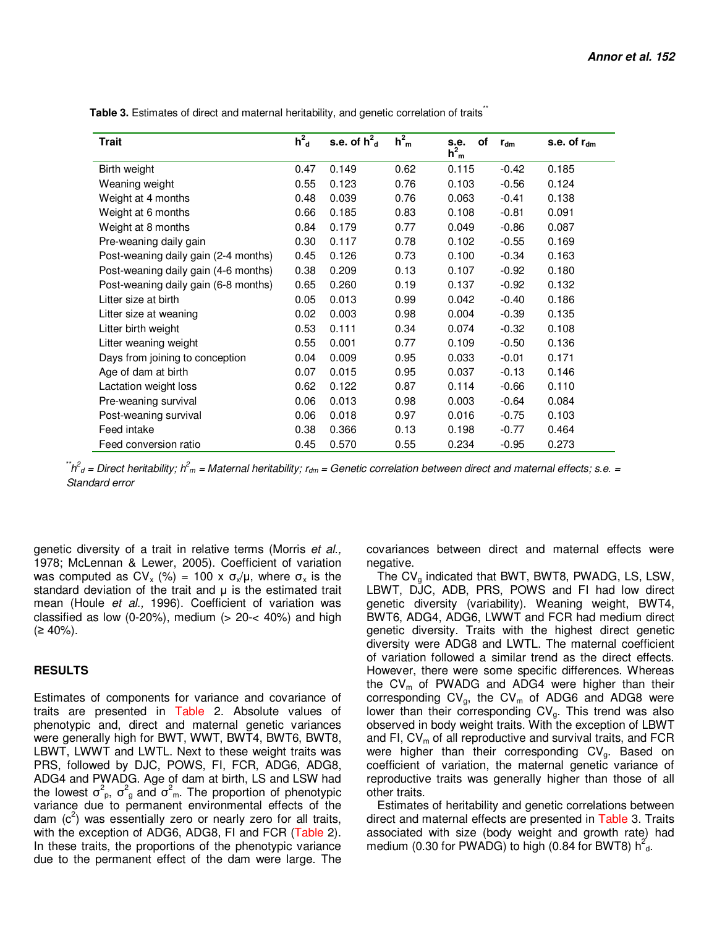| <b>Trait</b>                         | $h_d^2$ | s.e. of $h^2$ <sub>d</sub> | h <sup>2</sup> <sub>m</sub> | of<br>s.e.<br>$h_{m}^{2}$ | $r_{dm}$ | s.e. of $r_{dm}$ |
|--------------------------------------|---------|----------------------------|-----------------------------|---------------------------|----------|------------------|
| Birth weight                         | 0.47    | 0.149                      | 0.62                        | 0.115                     | $-0.42$  | 0.185            |
| Weaning weight                       | 0.55    | 0.123                      | 0.76                        | 0.103                     | $-0.56$  | 0.124            |
| Weight at 4 months                   | 0.48    | 0.039                      | 0.76                        | 0.063                     | $-0.41$  | 0.138            |
| Weight at 6 months                   | 0.66    | 0.185                      | 0.83                        | 0.108                     | $-0.81$  | 0.091            |
| Weight at 8 months                   | 0.84    | 0.179                      | 0.77                        | 0.049                     | $-0.86$  | 0.087            |
| Pre-weaning daily gain               | 0.30    | 0.117                      | 0.78                        | 0.102                     | $-0.55$  | 0.169            |
| Post-weaning daily gain (2-4 months) | 0.45    | 0.126                      | 0.73                        | 0.100                     | $-0.34$  | 0.163            |
| Post-weaning daily gain (4-6 months) | 0.38    | 0.209                      | 0.13                        | 0.107                     | $-0.92$  | 0.180            |
| Post-weaning daily gain (6-8 months) | 0.65    | 0.260                      | 0.19                        | 0.137                     | $-0.92$  | 0.132            |
| Litter size at birth                 | 0.05    | 0.013                      | 0.99                        | 0.042                     | $-0.40$  | 0.186            |
| Litter size at weaning               | 0.02    | 0.003                      | 0.98                        | 0.004                     | $-0.39$  | 0.135            |
| Litter birth weight                  | 0.53    | 0.111                      | 0.34                        | 0.074                     | $-0.32$  | 0.108            |
| Litter weaning weight                | 0.55    | 0.001                      | 0.77                        | 0.109                     | $-0.50$  | 0.136            |
| Days from joining to conception      | 0.04    | 0.009                      | 0.95                        | 0.033                     | $-0.01$  | 0.171            |
| Age of dam at birth                  | 0.07    | 0.015                      | 0.95                        | 0.037                     | $-0.13$  | 0.146            |
| Lactation weight loss                | 0.62    | 0.122                      | 0.87                        | 0.114                     | $-0.66$  | 0.110            |
| Pre-weaning survival                 | 0.06    | 0.013                      | 0.98                        | 0.003                     | $-0.64$  | 0.084            |
| Post-weaning survival                | 0.06    | 0.018                      | 0.97                        | 0.016                     | $-0.75$  | 0.103            |
| Feed intake                          | 0.38    | 0.366                      | 0.13                        | 0.198                     | $-0.77$  | 0.464            |
| Feed conversion ratio                | 0.45    | 0.570                      | 0.55                        | 0.234                     | $-0.95$  | 0.273            |

Table 3. Estimates of direct and maternal heritability, and genetic correlation of traits<sup>\*\*</sup>

 *\*\*h 2 d = Direct heritability; h<sup>2</sup> <sup>m</sup> = Maternal heritability; rdm = Genetic correlation between direct and maternal effects; s.e. = Standard error* 

genetic diversity of a trait in relative terms (Morris *et al.,*  1978; McLennan & Lewer, 2005). Coefficient of variation was computed as  $CV_x$  (%) = 100 x  $\sigma_x/\mu$ , where  $\sigma_x$  is the standard deviation of the trait and  $\mu$  is the estimated trait mean (Houle *et al.,* 1996). Coefficient of variation was classified as low (0-20%), medium  $(> 20 - < 40%)$  and high  $(≥ 40%).$ 

#### **RESULTS**

Estimates of components for variance and covariance of traits are presented in Table 2. Absolute values of phenotypic and, direct and maternal genetic variances were generally high for BWT, WWT, BWT4, BWT6, BWT8, LBWT, LWWT and LWTL. Next to these weight traits was PRS, followed by DJC, POWS, FI, FCR, ADG6, ADG8, ADG4 and PWADG. Age of dam at birth, LS and LSW had the lowest  $\sigma_{p}^{2}$ ,  $\sigma_{g}^{2}$  and  $\sigma_{m}^{2}$ . The proportion of phenotypic variance due to permanent environmental effects of the dam  $(c^2)$  was essentially zero or nearly zero for all traits, with the exception of ADG6, ADG8, FI and FCR (Table 2). In these traits, the proportions of the phenotypic variance due to the permanent effect of the dam were large. The

covariances between direct and maternal effects were negative.

The  $CV_q$  indicated that BWT, BWT8, PWADG, LS, LSW, LBWT, DJC, ADB, PRS, POWS and FI had low direct genetic diversity (variability). Weaning weight, BWT4, BWT6, ADG4, ADG6, LWWT and FCR had medium direct genetic diversity. Traits with the highest direct genetic diversity were ADG8 and LWTL. The maternal coefficient of variation followed a similar trend as the direct effects. However, there were some specific differences. Whereas the  $CV<sub>m</sub>$  of PWADG and ADG4 were higher than their corresponding  $CV<sub>g</sub>$ , the  $CV<sub>m</sub>$  of ADG6 and ADG8 were lower than their corresponding  $CV<sub>g</sub>$ . This trend was also observed in body weight traits. With the exception of LBWT and FI,  $CV<sub>m</sub>$  of all reproductive and survival traits, and FCR were higher than their corresponding  $CV<sub>g</sub>$ . Based on coefficient of variation, the maternal genetic variance of reproductive traits was generally higher than those of all other traits.

Estimates of heritability and genetic correlations between direct and maternal effects are presented in Table 3. Traits associated with size (body weight and growth rate) had medium (0.30 for PWADG) to high (0.84 for BWT8)  $h^2_{d}$ .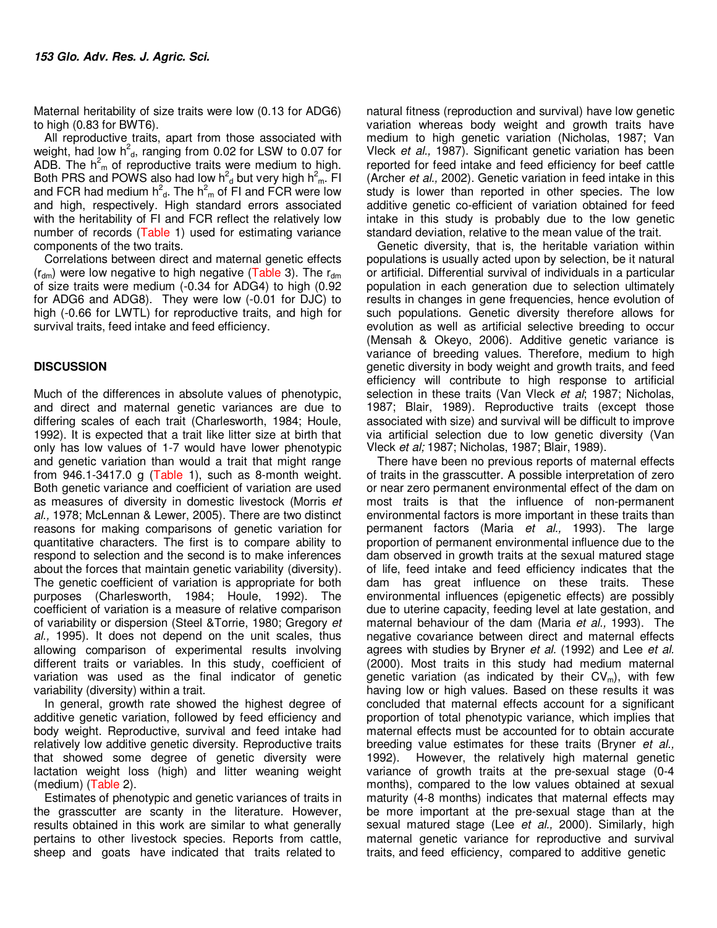Maternal heritability of size traits were low (0.13 for ADG6) to high (0.83 for BWT6).

All reproductive traits, apart from those associated with weight, had low  $h^2_{\alpha}$ , ranging from 0.02 for LSW to 0.07 for ADB. The  $h<sup>2</sup><sub>m</sub>$  of reproductive traits were medium to high. Both PRS and POWS also had low  $h^2$ <sub>d</sub> but very high  $h^2_m$ . FI and FCR had medium  $h^2_{\alpha}$ . The  $h^2_{\alpha}$  of FI and FCR were low and high, respectively. High standard errors associated with the heritability of FI and FCR reflect the relatively low number of records (Table 1) used for estimating variance components of the two traits.

Correlations between direct and maternal genetic effects  $(r<sub>dm</sub>)$  were low negative to high negative (Table 3). The  $r<sub>dm</sub>$ of size traits were medium (-0.34 for ADG4) to high (0.92 for ADG6 and ADG8). They were low (-0.01 for DJC) to high (-0.66 for LWTL) for reproductive traits, and high for survival traits, feed intake and feed efficiency.

## **DISCUSSION**

Much of the differences in absolute values of phenotypic, and direct and maternal genetic variances are due to differing scales of each trait (Charlesworth, 1984; Houle, 1992). It is expected that a trait like litter size at birth that only has low values of 1-7 would have lower phenotypic and genetic variation than would a trait that might range from 946.1-3417.0 g (Table 1), such as 8-month weight. Both genetic variance and coefficient of variation are used as measures of diversity in domestic livestock (Morris *et al.,* 1978; McLennan & Lewer, 2005). There are two distinct reasons for making comparisons of genetic variation for quantitative characters. The first is to compare ability to respond to selection and the second is to make inferences about the forces that maintain genetic variability (diversity). The genetic coefficient of variation is appropriate for both purposes (Charlesworth, 1984; Houle, 1992). The coefficient of variation is a measure of relative comparison of variability or dispersion (Steel &Torrie, 1980; Gregory *et al.,* 1995). It does not depend on the unit scales, thus allowing comparison of experimental results involving different traits or variables. In this study, coefficient of variation was used as the final indicator of genetic variability (diversity) within a trait.

In general, growth rate showed the highest degree of additive genetic variation, followed by feed efficiency and body weight. Reproductive, survival and feed intake had relatively low additive genetic diversity. Reproductive traits that showed some degree of genetic diversity were lactation weight loss (high) and litter weaning weight (medium) (Table 2).

Estimates of phenotypic and genetic variances of traits in the grasscutter are scanty in the literature. However, results obtained in this work are similar to what generally pertains to other livestock species. Reports from cattle, sheep and goats have indicated that traits related to

natural fitness (reproduction and survival) have low genetic variation whereas body weight and growth traits have medium to high genetic variation (Nicholas, 1987; Van Vleck *et al.,* 1987). Significant genetic variation has been reported for feed intake and feed efficiency for beef cattle (Archer *et al.,* 2002). Genetic variation in feed intake in this study is lower than reported in other species. The low additive genetic co-efficient of variation obtained for feed intake in this study is probably due to the low genetic standard deviation, relative to the mean value of the trait.

Genetic diversity, that is, the heritable variation within populations is usually acted upon by selection, be it natural or artificial. Differential survival of individuals in a particular population in each generation due to selection ultimately results in changes in gene frequencies, hence evolution of such populations. Genetic diversity therefore allows for evolution as well as artificial selective breeding to occur (Mensah & Okeyo, 2006). Additive genetic variance is variance of breeding values. Therefore, medium to high genetic diversity in body weight and growth traits, and feed efficiency will contribute to high response to artificial selection in these traits (Van Vleck *et al*; 1987; Nicholas, 1987; Blair, 1989)*.* Reproductive traits (except those associated with size) and survival will be difficult to improve via artificial selection due to low genetic diversity (Van Vleck *et al;* 1987; Nicholas, 1987; Blair, 1989).

There have been no previous reports of maternal effects of traits in the grasscutter. A possible interpretation of zero or near zero permanent environmental effect of the dam on most traits is that the influence of non-permanent environmental factors is more important in these traits than permanent factors (Maria *et al.,* 1993). The large proportion of permanent environmental influence due to the dam observed in growth traits at the sexual matured stage of life, feed intake and feed efficiency indicates that the dam has great influence on these traits. These environmental influences (epigenetic effects) are possibly due to uterine capacity, feeding level at late gestation, and maternal behaviour of the dam (Maria *et al.,* 1993). The negative covariance between direct and maternal effects agrees with studies by Bryner *et al.* (1992) and Lee *et al.*  (2000). Most traits in this study had medium maternal genetic variation (as indicated by their  $CV<sub>m</sub>$ ), with few having low or high values. Based on these results it was concluded that maternal effects account for a significant proportion of total phenotypic variance, which implies that maternal effects must be accounted for to obtain accurate breeding value estimates for these traits (Bryner *et al.,*  1992). However, the relatively high maternal genetic variance of growth traits at the pre-sexual stage (0-4 months), compared to the low values obtained at sexual maturity (4-8 months) indicates that maternal effects may be more important at the pre-sexual stage than at the sexual matured stage (Lee *et al.,* 2000). Similarly, high maternal genetic variance for reproductive and survival traits, and feed efficiency, compared to additive genetic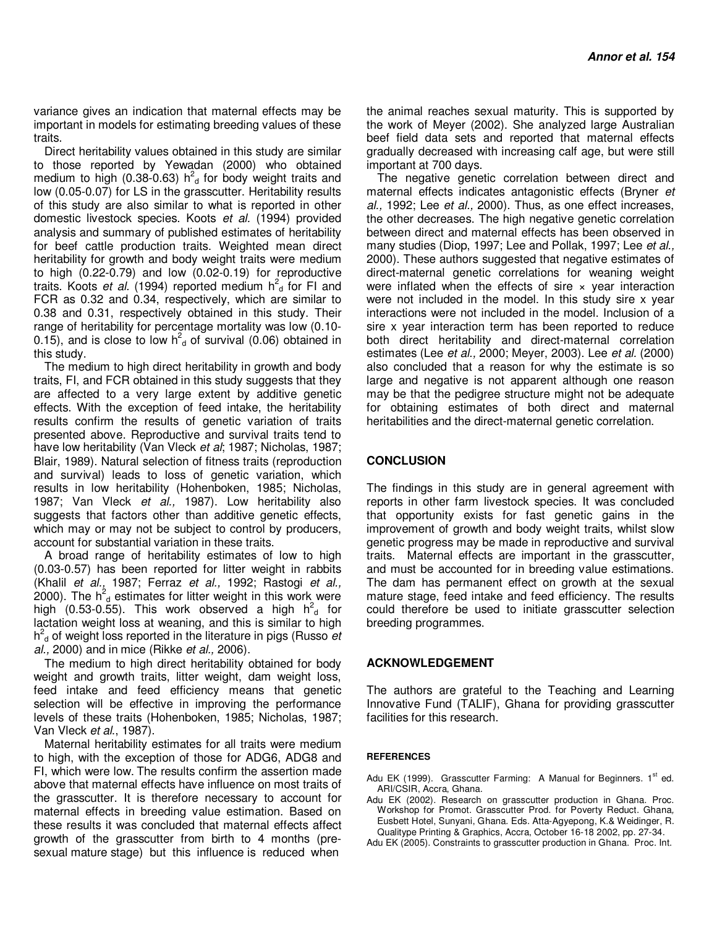variance gives an indication that maternal effects may be important in models for estimating breeding values of these traits.

Direct heritability values obtained in this study are similar to those reported by Yewadan (2000) who obtained medium to high (0.38-0.63)  $h^2$ <sub>d</sub> for body weight traits and low (0.05-0.07) for LS in the grasscutter. Heritability results of this study are also similar to what is reported in other domestic livestock species. Koots *et al.* (1994) provided analysis and summary of published estimates of heritability for beef cattle production traits. Weighted mean direct heritability for growth and body weight traits were medium to high (0.22-0.79) and low (0.02-0.19) for reproductive traits. Koots *et al.* (1994) reported medium h<sup>2</sup><sub>d</sub> for FI and FCR as 0.32 and 0.34, respectively, which are similar to 0.38 and 0.31, respectively obtained in this study. Their range of heritability for percentage mortality was low (0.10- 0.15), and is close to low  $h^2$ <sub>d</sub> of survival (0.06) obtained in this study.

The medium to high direct heritability in growth and body traits, FI, and FCR obtained in this study suggests that they are affected to a very large extent by additive genetic effects. With the exception of feed intake, the heritability results confirm the results of genetic variation of traits presented above. Reproductive and survival traits tend to have low heritability (Van Vleck *et al*; 1987; Nicholas, 1987; Blair, 1989). Natural selection of fitness traits (reproduction and survival) leads to loss of genetic variation, which results in low heritability (Hohenboken, 1985; Nicholas, 1987; Van Vleck *et al.,* 1987). Low heritability also suggests that factors other than additive genetic effects, which may or may not be subject to control by producers, account for substantial variation in these traits.

A broad range of heritability estimates of low to high (0.03-0.57) has been reported for litter weight in rabbits (Khalil *et al.,* 1987; Ferraz *et al.,* 1992; Rastogi *et al.,*  2000). The  $h^2$ <sub>d</sub> estimates for litter weight in this work were high  $(0.53-0.55)$ . This work observed a high  $h<sup>2</sup><sub>d</sub>$  for lactation weight loss at weaning, and this is similar to high h 2 <sup>d</sup> of weight loss reported in the literature in pigs (Russo *et al.,* 2000) and in mice (Rikke *et al.,* 2006).

The medium to high direct heritability obtained for body weight and growth traits, litter weight, dam weight loss, feed intake and feed efficiency means that genetic selection will be effective in improving the performance levels of these traits (Hohenboken, 1985; Nicholas, 1987; Van Vleck *et al*., 1987).

Maternal heritability estimates for all traits were medium to high, with the exception of those for ADG6, ADG8 and FI, which were low. The results confirm the assertion made above that maternal effects have influence on most traits of the grasscutter. It is therefore necessary to account for maternal effects in breeding value estimation. Based on these results it was concluded that maternal effects affect growth of the grasscutter from birth to 4 months (presexual mature stage) but this influence is reduced when

the animal reaches sexual maturity. This is supported by the work of Meyer (2002). She analyzed large Australian beef field data sets and reported that maternal effects gradually decreased with increasing calf age, but were still important at 700 days.

The negative genetic correlation between direct and maternal effects indicates antagonistic effects (Bryner *et al.,* 1992; Lee *et al.,* 2000). Thus, as one effect increases, the other decreases. The high negative genetic correlation between direct and maternal effects has been observed in many studies (Diop, 1997; Lee and Pollak, 1997; Lee *et al.,*  2000). These authors suggested that negative estimates of direct-maternal genetic correlations for weaning weight were inflated when the effects of sire  $\times$  year interaction were not included in the model. In this study sire x year interactions were not included in the model. Inclusion of a sire x year interaction term has been reported to reduce both direct heritability and direct-maternal correlation estimates (Lee *et al.,* 2000; Meyer, 2003). Lee *et al.* (2000) also concluded that a reason for why the estimate is so large and negative is not apparent although one reason may be that the pedigree structure might not be adequate for obtaining estimates of both direct and maternal heritabilities and the direct-maternal genetic correlation.

### **CONCLUSION**

The findings in this study are in general agreement with reports in other farm livestock species. It was concluded that opportunity exists for fast genetic gains in the improvement of growth and body weight traits, whilst slow genetic progress may be made in reproductive and survival traits. Maternal effects are important in the grasscutter, and must be accounted for in breeding value estimations. The dam has permanent effect on growth at the sexual mature stage, feed intake and feed efficiency. The results could therefore be used to initiate grasscutter selection breeding programmes.

#### **ACKNOWLEDGEMENT**

The authors are grateful to the Teaching and Learning Innovative Fund (TALIF), Ghana for providing grasscutter facilities for this research.

#### **REFERENCES**

- Adu EK (1999). Grasscutter Farming: A Manual for Beginners.  $1<sup>st</sup>$  ed. ARI/CSIR, Accra, Ghana.
- Adu EK (2002). Research on grasscutter production in Ghana. Proc. Workshop for Promot. Grasscutter Prod. for Poverty Reduct. Ghana*,*  Eusbett Hotel, Sunyani, Ghana*.* Eds. Atta-Agyepong, K.& Weidinger, R. Qualitype Printing & Graphics, Accra, October 16-18 2002, pp. 27-34.
- Adu EK (2005). Constraints to grasscutter production in Ghana. Proc. Int.